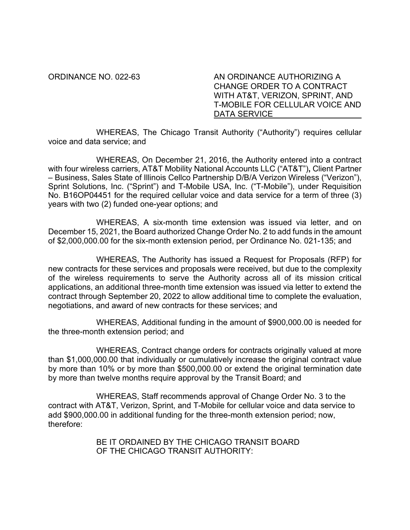ORDINANCE NO. 022-63 AN ORDINANCE AUTHORIZING A CHANGE ORDER TO A CONTRACT WITH AT&T, VERIZON, SPRINT, AND T-MOBILE FOR CELLULAR VOICE AND DATA SERVICE

WHEREAS, The Chicago Transit Authority ("Authority") requires cellular voice and data service; and

WHEREAS, On December 21, 2016, the Authority entered into a contract with four wireless carriers, AT&T Mobility National Accounts LLC ("AT&T")**,** Client Partner – Business, Sales State of Illinois Cellco Partnership D/B/A Verizon Wireless ("Verizon"), Sprint Solutions, Inc. ("Sprint") and T-Mobile USA, Inc. ("T-Mobile"), under Requisition No. B16OP04451 for the required cellular voice and data service for a term of three (3) years with two (2) funded one-year options; and

WHEREAS, A six-month time extension was issued via letter, and on December 15, 2021, the Board authorized Change Order No. 2 to add funds in the amount of \$2,000,000.00 for the six-month extension period, per Ordinance No. 021-135; and

WHEREAS, The Authority has issued a Request for Proposals (RFP) for new contracts for these services and proposals were received, but due to the complexity of the wireless requirements to serve the Authority across all of its mission critical applications, an additional three-month time extension was issued via letter to extend the contract through September 20, 2022 to allow additional time to complete the evaluation, negotiations, and award of new contracts for these services; and

WHEREAS, Additional funding in the amount of \$900,000.00 is needed for the three-month extension period; and

WHEREAS, Contract change orders for contracts originally valued at more than \$1,000,000.00 that individually or cumulatively increase the original contract value by more than 10% or by more than \$500,000.00 or extend the original termination date by more than twelve months require approval by the Transit Board; and

WHEREAS, Staff recommends approval of Change Order No. 3 to the contract with AT&T, Verizon, Sprint, and T-Mobile for cellular voice and data service to add \$900,000.00 in additional funding for the three-month extension period; now, therefore:

> BE IT ORDAINED BY THE CHICAGO TRANSIT BOARD OF THE CHICAGO TRANSIT AUTHORITY: